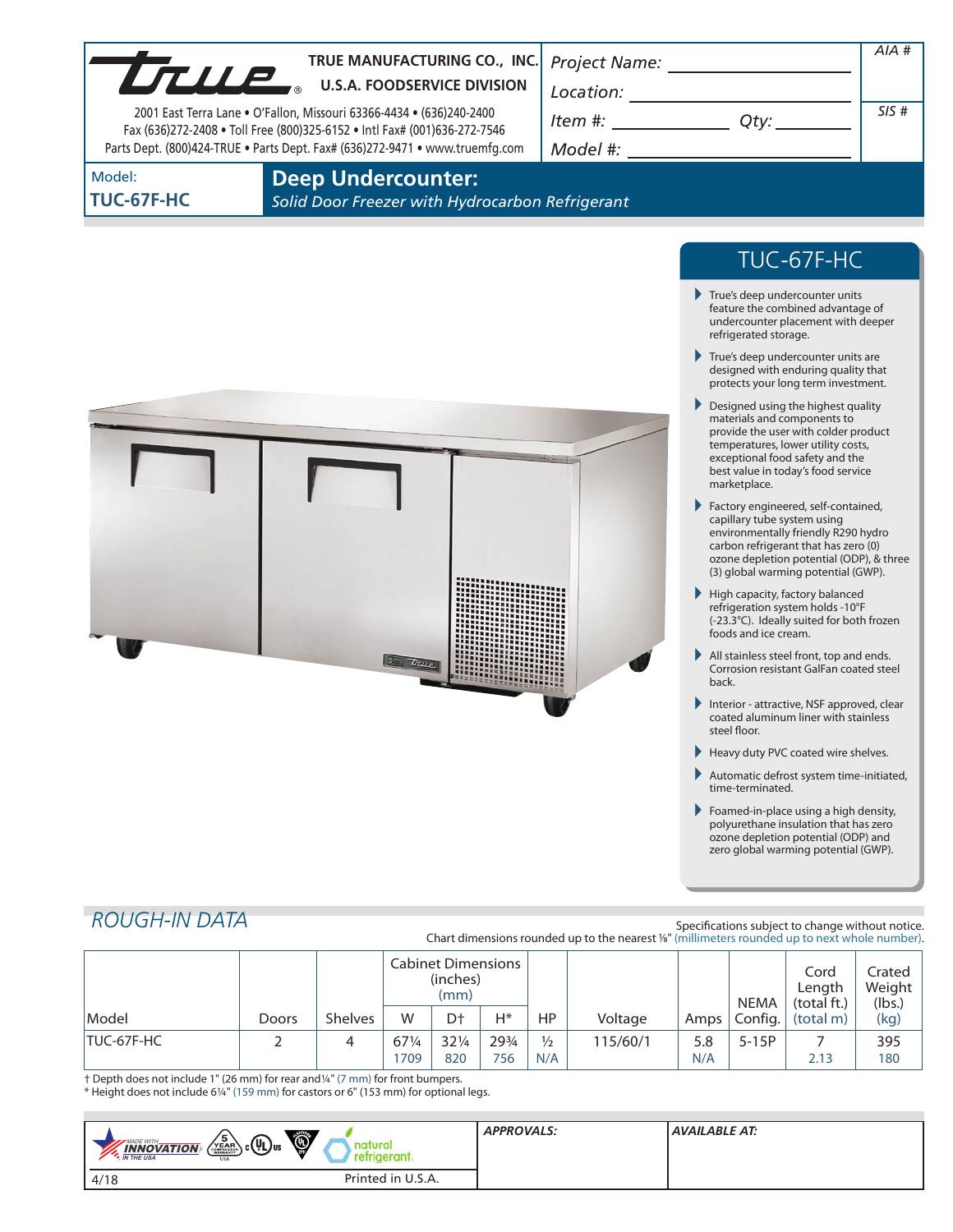| <b>UTLLE</b>         | TRUE MANUFACTURING CO., INC.<br><b>U.S.A. FOODSERVICE DIVISION</b><br>2001 East Terra Lane • O'Fallon, Missouri 63366-4434 • (636)240-2400<br>Fax (636)272-2408 • Toll Free (800)325-6152 • Intl Fax# (001)636-272-7546<br>Parts Dept. (800)424-TRUE . Parts Dept. Fax# (636)272-9471 . www.truemfg.com | <b>Project Name:</b><br>Location:<br>Item #:<br>Model #: | Qty:                                                                                                                               | AIA #<br>SIS# |
|----------------------|---------------------------------------------------------------------------------------------------------------------------------------------------------------------------------------------------------------------------------------------------------------------------------------------------------|----------------------------------------------------------|------------------------------------------------------------------------------------------------------------------------------------|---------------|
| Model:<br>TUC-67F-HC | <b>Deep Undercounter:</b><br>Solid Door Freezer with Hydrocarbon Refrigerant                                                                                                                                                                                                                            |                                                          |                                                                                                                                    |               |
|                      |                                                                                                                                                                                                                                                                                                         |                                                          | TUC-67F-HC                                                                                                                         |               |
|                      |                                                                                                                                                                                                                                                                                                         |                                                          | True's deep undercounter units<br>feature the combined advantage of<br>undercounter placement with deeper<br>refrigerated storage. |               |
|                      |                                                                                                                                                                                                                                                                                                         |                                                          | True's deep undercounter units are                                                                                                 |               |



- True's deep undercounter units are designed with enduring quality that protects your long term investment.
- Designed using the highest quality materials and components to provide the user with colder product temperatures, lower utility costs, exceptional food safety and the best value in today's food service marketplace.
- Factory engineered, self-contained, capillary tube system using environmentally friendly R290 hydro carbon refrigerant that has zero (0) ozone depletion potential (ODP), & three (3) global warming potential (GWP).
- High capacity, factory balanced refrigeration system holds -10°F (-23.3°C). Ideally suited for both frozen foods and ice cream.
- All stainless steel front, top and ends. Corrosion resistant GalFan coated steel back.
- Interior attractive, NSF approved, clear coated aluminum liner with stainless steel floor.
- Heavy duty PVC coated wire shelves.
- Automatic defrost system time-initiated, time-terminated.
- Foamed-in-place using a high density, polyurethane insulation that has zero ozone depletion potential (ODP) and zero global warming potential (GWP).

# *ROUGH-IN DATA*

Specifications subject to change without notice. Chart dimensions rounded up to the nearest %" (millimeters rounded up to next whole number).

|                   |       |                | <b>Cabinet Dimensions</b><br>(inches)<br>(mm) |                 |       |               |          | <b>NEMA</b> | Cord<br>Length<br>(total ft.) | Crated<br>Weight<br>(lbs.) |      |
|-------------------|-------|----------------|-----------------------------------------------|-----------------|-------|---------------|----------|-------------|-------------------------------|----------------------------|------|
| Model             | Doors | <b>Shelves</b> | W                                             | Dt              | Н*    | HP            | Voltage  | Amps        | Config.                       | (total m)                  | (kg) |
| <b>TUC-67F-HC</b> |       |                | 671/4                                         | $32\frac{1}{4}$ | 293/4 | $\frac{1}{2}$ | 115/60/1 | 5.8         | $5-15P$                       |                            | 395  |
|                   |       |                | 1709                                          | 820             | 756   | N/A           |          | N/A         |                               | 2.13                       | 180  |

† Depth does not include 1" (26 mm) for rear and1/4" (7 mm) for front bumpers. \* Height does not include 61/4" (159 mm) for castors or 6" (153 mm) for optional legs.

| Ő,<br>$\left(\sum_{i=1}^{5} C_{i} \left(\mathbf{U}_{i}\right)$ us<br>MADE WITH_<br>h iri<br><b>INNOVATION</b><br>eram.<br><b>M</b> THE USA<br><b>USA</b> | <b>APPROVALS:</b> | AVAILABLE AT: |
|----------------------------------------------------------------------------------------------------------------------------------------------------------|-------------------|---------------|
| Printed in U.S.A.<br>4/18                                                                                                                                |                   |               |